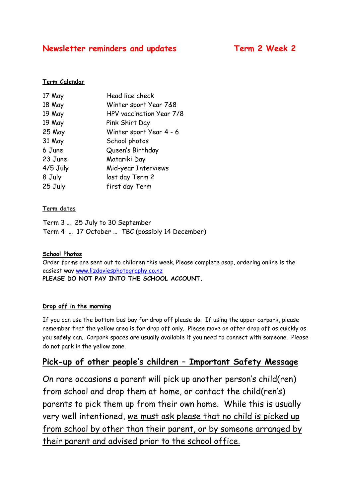# **Newsletter reminders and updates Term 2 Week 2**

# **Term Calendar**

| 17 May     | Head lice check          |
|------------|--------------------------|
| 18 May     | Winter sport Year 7&8    |
| 19 May     | HPV vaccination Year 7/8 |
| 19 May     | Pink Shirt Day           |
| 25 May     | Winter sport Year 4 - 6  |
| 31 May     | School photos            |
| 6 June     | Queen's Birthday         |
| 23 June    | Matariki Day             |
| $4/5$ July | Mid-year Interviews      |
| 8 July     | last day Term 2          |
| 25 July    | first day Term           |
|            |                          |

# **Term dates**

Term 3 … 25 July to 30 September Term 4 … 17 October … TBC (possibly 14 December)

# **School Photos**

Order forms are sent out to children this week. Please complete asap, ordering online is the easiest way [www.lizdaviesphotography.co.nz](http://www.lizdaviesphotography.co.nz/) **PLEASE DO NOT PAY INTO THE SCHOOL ACCOUNT.**

#### **Drop off in the morning**

If you can use the bottom bus bay for drop off please do. If using the upper carpark, please remember that the yellow area is for drop off only. Please move on after drop off as quickly as you **safely** can. Carpark spaces are usually available if you need to connect with someone. Please do not park in the yellow zone.

# **Pick-up of other people's children – Important Safety Message**

On rare occasions a parent will pick up another person's child(ren) from school and drop them at home, or contact the child(ren's) parents to pick them up from their own home. While this is usually very well intentioned, we must ask please that no child is picked up from school by other than their parent, or by someone arranged by their parent and advised prior to the school office.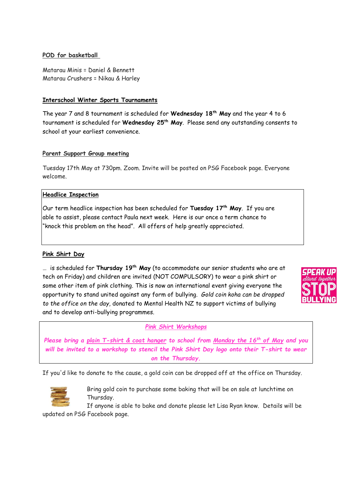# **POD for basketball**

Matarau Minis = Daniel & Bennett Matarau Crushers = Nikau & Harley

# **Interschool Winter Sports Tournaments**

The year 7 and 8 tournament is scheduled for **Wednesday 18th May** and the year 4 to 6 tournament is scheduled for **Wednesday 25th May**. Please send any outstanding consents to school at your earliest convenience.

### **Parent Support Group meeting**

Tuesday 17th May at 730pm. Zoom. Invite will be posted on PSG Facebook page. Everyone welcome.

### **Headlice Inspection**

Our term headlice inspection has been scheduled for **Tuesday 17th May**. If you are able to assist, please contact Paula next week. Here is our once a term chance to "knock this problem on the head". All offers of help greatly appreciated.

# **Pink Shirt Day**

… is scheduled for **Thursday 19th May** (to accommodate our senior students who are at tech on Friday) and children are invited (NOT COMPULSORY) to wear a pink shirt or some other item of pink clothing. This is now an international event giving everyone the opportunity to stand united against any form of bullying. *Gold coin koha can be dropped to the office on the day*, donated to Mental Health NZ to support victims of bullying and to develop anti-bullying programmes.



#### *Pink Shirt Workshops*

*Please bring a plain T-shirt & coat hanger to school from Monday the 16th of May and you will be invited to a workshop to stencil the Pink Shirt Day logo onto their T-shirt to wear on the Thursday.*

If you'd like to donate to the cause, a gold coin can be dropped off at the office on Thursday.



Bring gold coin to purchase some baking that will be on sale at lunchtime on Thursday.

If anyone is able to bake and donate please let Lisa Ryan know. Details will be updated on PSG Facebook page.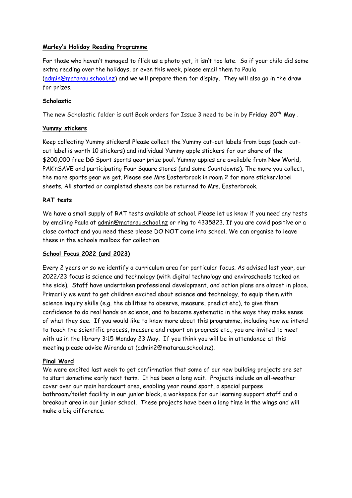# **Marley's Holiday Reading Programme**

For those who haven't managed to flick us a photo yet, it isn't too late. So if your child did some extra reading over the holidays, or even this week, please email them to Paula [\(admin@matarau.school.nz\)](mailto:admin@matarau.school.nz) and we will prepare them for display. They will also go in the draw for prizes.

# **Scholastic**

The new Scholastic folder is out! Book orders for Issue 3 need to be in by **Friday 20th May** .

### **Yummy stickers**

Keep collecting Yummy stickers! Please collect the Yummy cut-out labels from bags (each cutout label is worth 10 stickers) and individual Yummy apple stickers for our share of the \$200,000 free DG Sport sports gear prize pool. Yummy apples are available from New World, PAK'nSAVE and participating Four Square stores (and some Countdowns). The more you collect, the more sports gear we get. Please see Mrs Easterbrook in room 2 for more sticker/label sheets. All started or completed sheets can be returned to Mrs. Easterbrook.

# **RAT tests**

We have a small supply of RAT tests available at school. Please let us know if you need any tests by emailing Paula at [admin@matarau.school.nz](mailto:admin@matarau.school.nz) or ring to 4335823. If you are covid positive or a close contact and you need these please DO NOT come into school. We can organise to leave these in the schools mailbox for collection.

#### **School Focus 2022 (and 2023)**

Every 2 years or so we identify a curriculum area for particular focus. As advised last year, our 2022/23 focus is science and technology (with digital technology and enviroschools tacked on the side). Staff have undertaken professional development, and action plans are almost in place. Primarily we want to get children excited about science and technology, to equip them with science inquiry skills (e.g. the abilities to observe, measure, predict etc), to give them confidence to do real hands on science, and to become systematic in the ways they make sense of what they see. If you would like to know more about this programme, including how we intend to teach the scientific process, measure and report on progress etc., you are invited to meet with us in the library 3:15 Monday 23 May. If you think you will be in attendance at this meeting please advise Miranda at (admin2@matarau.school.nz).

#### **Final Word**

We were excited last week to get confirmation that some of our new building projects are set to start sometime early next term. It has been a long wait. Projects include an all-weather cover over our main hardcourt area, enabling year round sport, a special purpose bathroom/toilet facility in our junior block, a workspace for our learning support staff and a breakout area in our junior school. These projects have been a long time in the wings and will make a big difference.